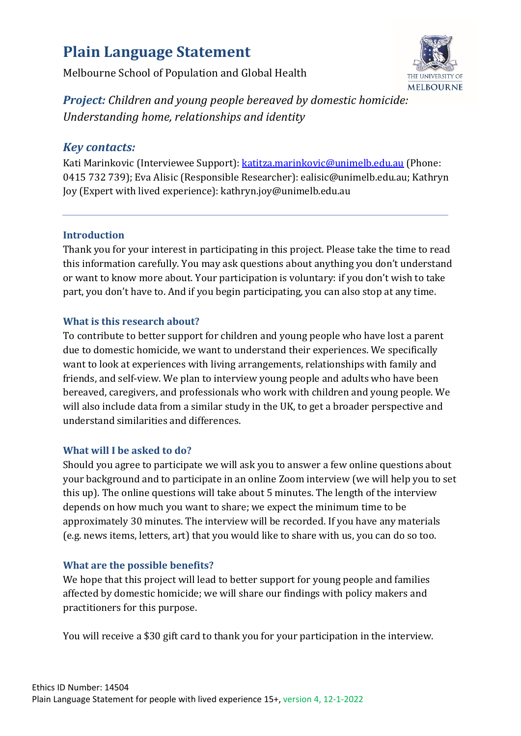# **Plain Language Statement**

Melbourne School of Population and Global Health



*Project: Children and young people bereaved by domestic homicide: Understanding home, relationships and identity*

# *Key contacts:*

Kati Marinkovic (Interviewee Support)[: katitza.marinkovic@unimelb.edu.au](mailto:katitza.marinkovic@unimelb.edu.au) (Phone: 0415 732 739); Eva Alisic (Responsible Researcher): ealisic@unimelb.edu.au; Kathryn Joy (Expert with lived experience): kathryn.joy@unimelb.edu.au

## **Introduction**

Thank you for your interest in participating in this project. Please take the time to read this information carefully. You may ask questions about anything you don't understand or want to know more about. Your participation is voluntary: if you don't wish to take part, you don't have to. And if you begin participating, you can also stop at any time.

## **What is this research about?**

To contribute to better support for children and young people who have lost a parent due to domestic homicide, we want to understand their experiences. We specifically want to look at experiences with living arrangements, relationships with family and friends, and self-view. We plan to interview young people and adults who have been bereaved, caregivers, and professionals who work with children and young people. We will also include data from a similar study in the UK, to get a broader perspective and understand similarities and differences.

## **What will I be asked to do?**

Should you agree to participate we will ask you to answer a few online questions about your background and to participate in an online Zoom interview (we will help you to set this up). The online questions will take about 5 minutes. The length of the interview depends on how much you want to share; we expect the minimum time to be approximately 30 minutes. The interview will be recorded. If you have any materials (e.g. news items, letters, art) that you would like to share with us, you can do so too.

# **What are the possible benefits?**

We hope that this project will lead to better support for young people and families affected by domestic homicide; we will share our findings with policy makers and practitioners for this purpose.

You will receive a \$30 gift card to thank you for your participation in the interview.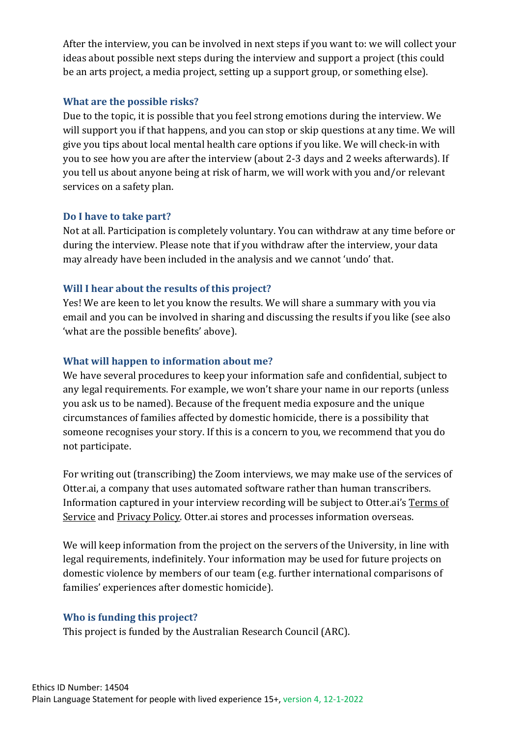After the interview, you can be involved in next steps if you want to: we will collect your ideas about possible next steps during the interview and support a project (this could be an arts project, a media project, setting up a support group, or something else).

#### **What are the possible risks?**

Due to the topic, it is possible that you feel strong emotions during the interview. We will support you if that happens, and you can stop or skip questions at any time. We will give you tips about local mental health care options if you like. We will check-in with you to see how you are after the interview (about 2-3 days and 2 weeks afterwards). If you tell us about anyone being at risk of harm, we will work with you and/or relevant services on a safety plan.

#### **Do I have to take part?**

Not at all. Participation is completely voluntary. You can withdraw at any time before or during the interview. Please note that if you withdraw after the interview, your data may already have been included in the analysis and we cannot 'undo' that.

#### **Will I hear about the results of this project?**

Yes! We are keen to let you know the results. We will share a summary with you via email and you can be involved in sharing and discussing the results if you like (see also 'what are the possible benefits' above).

#### **What will happen to information about me?**

We have several procedures to keep your information safe and confidential, subject to any legal requirements. For example, we won't share your name in our reports (unless you ask us to be named). Because of the frequent media exposure and the unique circumstances of families affected by domestic homicide, there is a possibility that someone recognises your story. If this is a concern to you, we recommend that you do not participate.

For writing out (transcribing) the Zoom interviews, we may make use of the services of Otter.ai, a company that uses automated software rather than human transcribers. Information captured in your interview recording will be subject to Otter.ai's [Terms of](https://blog.otter.ai/terms-of-service/)  [Service](https://blog.otter.ai/terms-of-service/) and [Privacy Policy.](https://otter.ai/privacy) Otter.ai stores and processes information overseas.

We will keep information from the project on the servers of the University, in line with legal requirements, indefinitely. Your information may be used for future projects on domestic violence by members of our team (e.g. further international comparisons of families' experiences after domestic homicide).

## **Who is funding this project?**

This project is funded by the Australian Research Council (ARC).